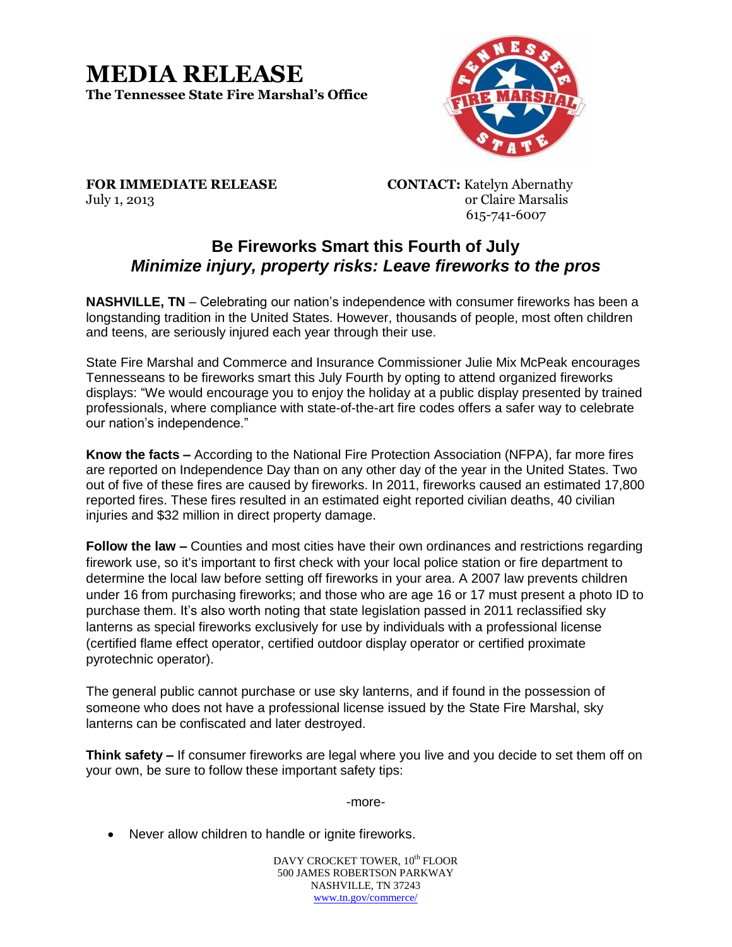## **MEDIA RELEASE The Tennessee State Fire Marshal's Office**



**FOR IMMEDIATE RELEASE CONTACT:** Katelyn Abernathy July 1, 2013 or Claire Marsalis

615-741-6007

## **Be Fireworks Smart this Fourth of July** *Minimize injury, property risks: Leave fireworks to the pros*

**NASHVILLE, TN** – Celebrating our nation's independence with consumer fireworks has been a longstanding tradition in the United States. However, thousands of people, most often children and teens, are seriously injured each year through their use.

State Fire Marshal and Commerce and Insurance Commissioner Julie Mix McPeak encourages Tennesseans to be fireworks smart this July Fourth by opting to attend organized fireworks displays: "We would encourage you to enjoy the holiday at a public display presented by trained professionals, where compliance with state-of-the-art fire codes offers a safer way to celebrate our nation's independence."

**Know the facts –** According to the National Fire Protection Association (NFPA), far more fires are reported on Independence Day than on any other day of the year in the United States. Two out of five of these fires are caused by fireworks. In 2011, fireworks caused an estimated 17,800 reported fires. These fires resulted in an estimated eight reported civilian deaths, 40 civilian injuries and \$32 million in direct property damage.

**Follow the law –** Counties and most cities have their own ordinances and restrictions regarding firework use, so it's important to first check with your local police station or fire department to determine the local law before setting off fireworks in your area. A 2007 law prevents children under 16 from purchasing fireworks; and those who are age 16 or 17 must present a photo ID to purchase them. It's also worth noting that state legislation passed in 2011 reclassified sky lanterns as special fireworks exclusively for use by individuals with a professional license (certified flame effect operator, certified outdoor display operator or certified proximate pyrotechnic operator).

The general public cannot purchase or use sky lanterns, and if found in the possession of someone who does not have a professional license issued by the State Fire Marshal, sky lanterns can be confiscated and later destroyed.

**Think safety –** If consumer fireworks are legal where you live and you decide to set them off on your own, be sure to follow these important safety tips:

-more-

Never allow children to handle or ignite fireworks.

DAVY CROCKET TOWER,  $10^{\text{th}}$  FLOOR 500 JAMES ROBERTSON PARKWAY NASHVILLE, TN 37243 www.tn.gov/commerce/